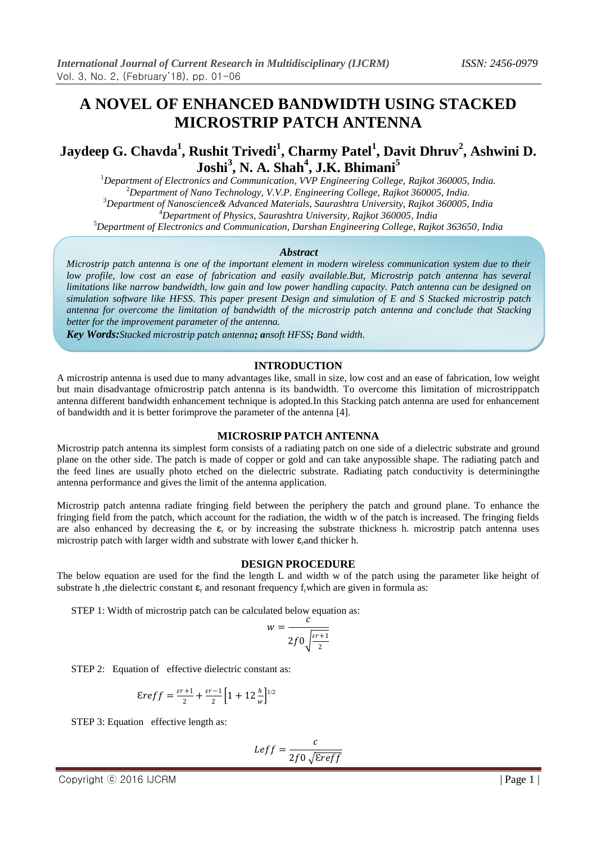# **A NOVEL OF ENHANCED BANDWIDTH USING STACKED MICROSTRIP PATCH ANTENNA**

# **Jaydeep G. Chavda<sup>1</sup> , Rushit Trivedi<sup>1</sup> , Charmy Patel<sup>1</sup> , Davit Dhruv<sup>2</sup> , Ashwini D. Joshi<sup>3</sup> , N. A. Shah<sup>4</sup> , J.K. Bhimani<sup>5</sup>**

*Department of Electronics and Communication, VVP Engineering College, Rajkot 360005, India. Department of Nano Technology, V.V.P. Engineering College, Rajkot 360005, India. Department of Nanoscience& Advanced Materials, Saurashtra University, Rajkot 360005, India Department of Physics, Saurashtra University, Rajkot 360005, India Department of Electronics and Communication, Darshan Engineering College, Rajkot 363650, India*

#### *Abstract*

*Microstrip patch antenna is one of the important element in modern wireless communication system due to their low profile, low cost an ease of fabrication and easily available.But, Microstrip patch antenna has several limitations like narrow bandwidth, low gain and low power handling capacity. Patch antenna can be designed on simulation software like HFSS. This paper present Design and simulation of E and S Stacked microstrip patch antenna for overcome the limitation of bandwidth of the microstrip patch antenna and conclude that Stacking better for the improvement parameter of the antenna.*

*Key Words:Stacked microstrip patch antenna; ansoft HFSS; Band width.*

#### **INTRODUCTION**

A microstrip antenna is used due to many advantages like, small in size, low cost and an ease of fabrication, low weight but main disadvantage ofmicrostrip patch antenna is its bandwidth. To overcome this limitation of microstrippatch antenna different bandwidth enhancement technique is adopted.In this Stacking patch antenna are used for enhancement of bandwidth and it is better forimprove the parameter of the antenna [4].

#### **MICROSRIP PATCH ANTENNA**

Microstrip patch antenna its simplest form consists of a radiating patch on one side of a dielectric substrate and ground plane on the other side. The patch is made of copper or gold and can take anypossible shape. The radiating patch and the feed lines are usually photo etched on the dielectric substrate. Radiating patch conductivity is determiningthe antenna performance and gives the limit of the antenna application.

Microstrip patch antenna radiate fringing field between the periphery the patch and ground plane. To enhance the fringing field from the patch, which account for the radiation, the width w of the patch is increased. The fringing fields are also enhanced by decreasing the  $\varepsilon_r$  or by increasing the substrate thickness h. microstrip patch antenna uses microstrip patch with larger width and substrate with lower  $\varepsilon$ <sub>r</sub>and thicker h.

#### **DESIGN PROCEDURE**

The below equation are used for the find the length L and width w of the patch using the parameter like height of substrate h, the dielectric constant  $\varepsilon_r$  and resonant frequency f, which are given in formula as:

STEP 1: Width of microstrip patch can be calculated below equation as:

$$
v = \frac{c}{2f0\sqrt{\frac{\varepsilon r + 1}{2}}}
$$

=

STEP 2: Equation of effective dielectric constant as:

$$
\mathcal{E}reff=\tfrac{\varepsilon r+1}{2}+\tfrac{\varepsilon r-1}{2}\Big[1+12\tfrac{h}{w}\Big]^{1/2}
$$

STEP 3: Equation effective length as:

$$
Left = \frac{c}{2f0\sqrt{\text{E}reff}}
$$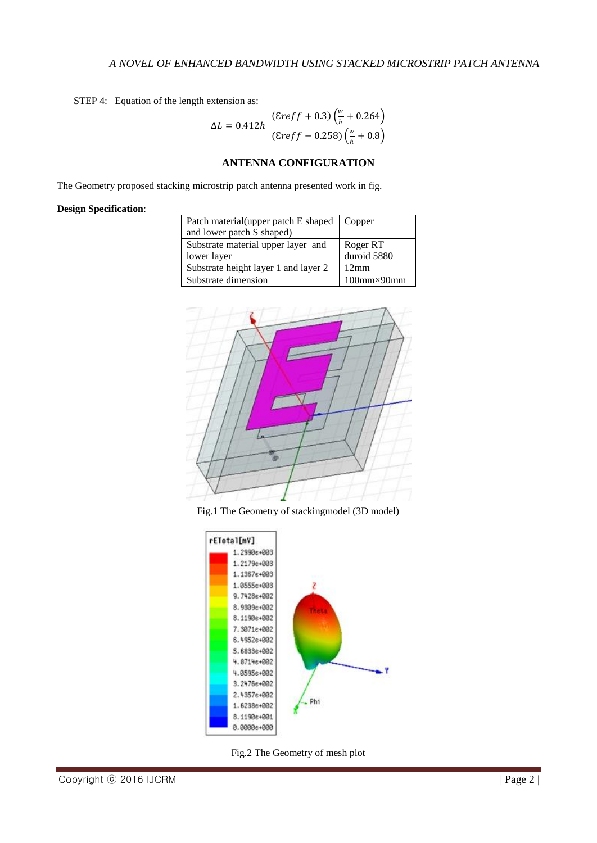STEP 4: Equation of the length extension as:

$$
\Delta L = 0.412h \frac{(\text{E}reff + 0.3) \left(\frac{w}{h} + 0.264\right)}{(\text{E}reff - 0.258) \left(\frac{w}{h} + 0.8\right)}
$$

### **ANTENNA CONFIGURATION**

The Geometry proposed stacking microstrip patch antenna presented work in fig.

### **Design Specification**:

| Patch material (upper patch E shaped   Copper |                        |
|-----------------------------------------------|------------------------|
| and lower patch S shaped)                     |                        |
| Substrate material upper layer and            | Roger RT               |
| lower layer                                   | duroid 5880            |
| Substrate height layer 1 and layer 2          | 12mm                   |
| Substrate dimension                           | $100$ mm $\times$ 90mm |



Fig.1 The Geometry of stackingmodel (3D model)



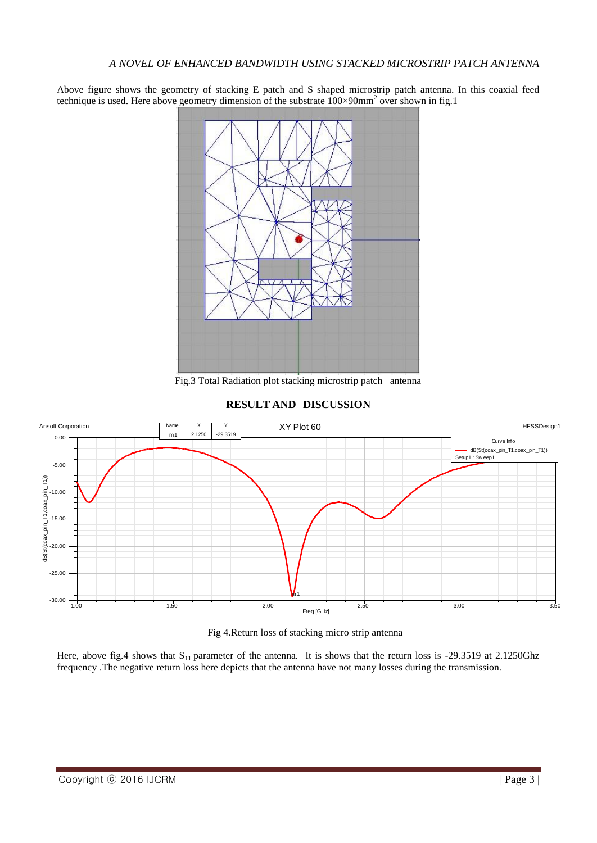Above figure shows the geometry of stacking E patch and S shaped microstrip patch antenna. In this coaxial feed technique is used. Here above geometry dimension of the substrate  $100\times90$ mm<sup>2</sup> over shown in fig.1



Fig.3 Total Radiation plot stacking microstrip patch antenna







Here, above fig.4 shows that  $S_{11}$  parameter of the antenna. It is shows that the return loss is -29.3519 at 2.1250Ghz frequency .The negative return loss here depicts that the antenna have not many losses during the transmission.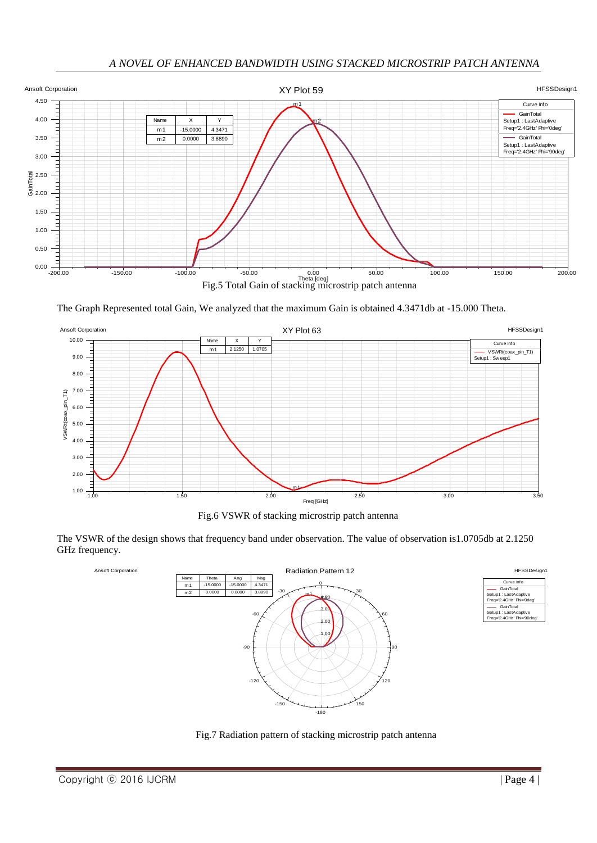

The Graph Represented total Gain, We analyzed that the maximum Gain is obtained 4.3471db at -15.000 Theta.



Fig.6 VSWR of stacking microstrip patch antenna

GHz frequency.



Fig.7 Radiation pattern of stacking microstrip patch antenna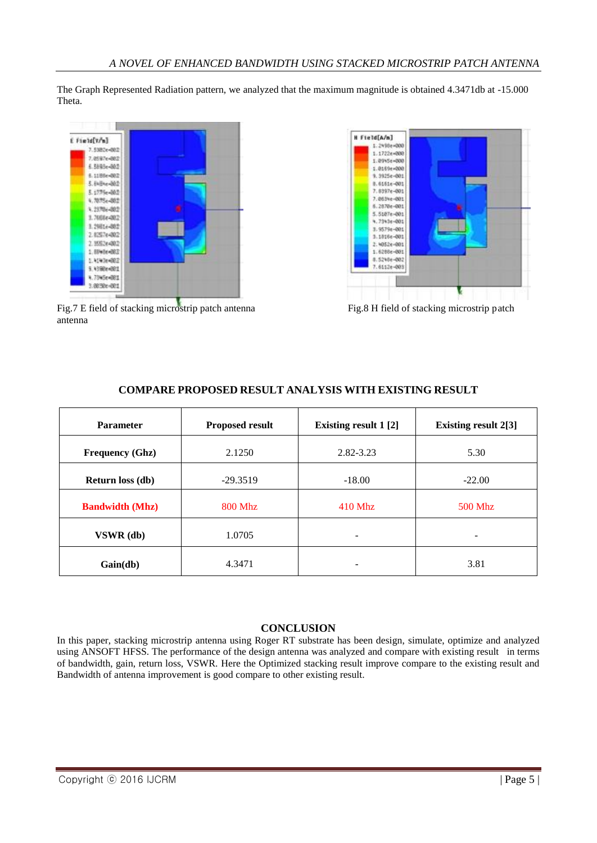The Graph Represented Radiation pattern, we analyzed that the maximum magnitude is obtained 4.3471db at -15.000 Theta.



Fig.7 E field of stacking microstrip patch antenna Fig.8 H field of stacking microstrip patch antenna



| <b>Parameter</b>        | <b>Proposed result</b> | <b>Existing result 1 [2]</b> | <b>Existing result 2[3]</b> |
|-------------------------|------------------------|------------------------------|-----------------------------|
| <b>Frequency (Ghz)</b>  | 2.1250                 | 2.82-3.23                    | 5.30                        |
| <b>Return loss (db)</b> | $-29.3519$             | $-18.00$                     | $-22.00$                    |
| <b>Bandwidth (Mhz)</b>  | <b>800 Mhz</b>         | 410 Mhz                      | 500 Mhz                     |
| VSWR (db)               | 1.0705                 | ۰                            |                             |
| Gain(db)                | 4.3471                 | -                            | 3.81                        |

## **COMPARE PROPOSED RESULT ANALYSIS WITH EXISTING RESULT**

## **CONCLUSION**

In this paper, stacking microstrip antenna using Roger RT substrate has been design, simulate, optimize and analyzed using ANSOFT HFSS. The performance of the design antenna was analyzed and compare with existing result in terms of bandwidth, gain, return loss, VSWR. Here the Optimized stacking result improve compare to the existing result and Bandwidth of antenna improvement is good compare to other existing result.